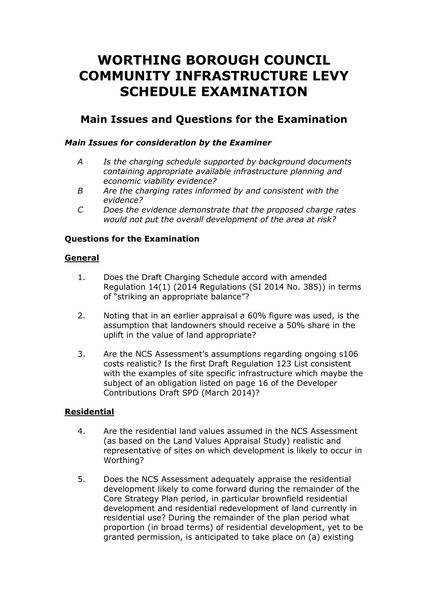# **WORTHING BOROUGH COUNCIL COMMUNITY INFRASTRUCTURE LEVY SCHEDULE EXAMINATION**

## **Main Issues and Questions for the Examination**

### *Main Issues for consideration by the Examiner*

- *A Is the charging schedule supported by background documents containing appropriate available infrastructure planning and economic viability evidence?*
- *B Are the charging rates informed by and consistent with the evidence?*
- *C Does the evidence demonstrate that the proposed charge rates would not put the overall development of the area at risk?*

#### **Questions for the Examination**

#### **General**

- 1. Does the Draft Charging Schedule accord with amended Regulation 14(1) (2014 Regulations (SI 2014 No. 385)) in terms of "striking an appropriate balance"?
- 2. Noting that in an earlier appraisal a 60% figure was used, is the assumption that landowners should receive a 50% share in the uplift in the value of land appropriate?
- 3. Are the NCS Assessment's assumptions regarding ongoing s106 costs realistic? Is the first Draft Regulation 123 List consistent with the examples of site specific infrastructure which maybe the subject of an obligation listed on page 16 of the Developer Contributions Draft SPD (March 2014)?

#### **Residential**

- 4. Are the residential land values assumed in the NCS Assessment (as based on the Land Values Appraisal Study) realistic and representative of sites on which development is likely to occur in Worthing?
- 5. Does the NCS Assessment adequately appraise the residential development likely to come forward during the remainder of the Core Strategy Plan period, in particular brownfield residential development and residential redevelopment of land currently in residential use? During the remainder of the plan period what proportion (in broad terms) of residential development, yet to be granted permission, is anticipated to take place on (a) existing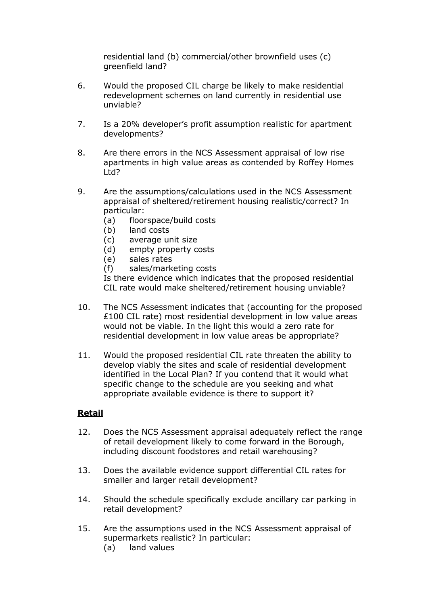residential land (b) commercial/other brownfield uses (c) greenfield land?

- 6. Would the proposed CIL charge be likely to make residential redevelopment schemes on land currently in residential use unviable?
- 7. Is a 20% developer's profit assumption realistic for apartment developments?
- 8. Are there errors in the NCS Assessment appraisal of low rise apartments in high value areas as contended by Roffey Homes Ltd?
- 9. Are the assumptions/calculations used in the NCS Assessment appraisal of sheltered/retirement housing realistic/correct? In particular:
	- (a) floorspace/build costs
	- (b) land costs
	- (c) average unit size
	- (d) empty property costs
	- (e) sales rates
	- (f) sales/marketing costs

Is there evidence which indicates that the proposed residential CIL rate would make sheltered/retirement housing unviable?

- 10. The NCS Assessment indicates that (accounting for the proposed £100 CIL rate) most residential development in low value areas would not be viable. In the light this would a zero rate for residential development in low value areas be appropriate?
- 11. Would the proposed residential CIL rate threaten the ability to develop viably the sites and scale of residential development identified in the Local Plan? If you contend that it would what specific change to the schedule are you seeking and what appropriate available evidence is there to support it?

#### **Retail**

- 12. Does the NCS Assessment appraisal adequately reflect the range of retail development likely to come forward in the Borough, including discount foodstores and retail warehousing?
- 13. Does the available evidence support differential CIL rates for smaller and larger retail development?
- 14. Should the schedule specifically exclude ancillary car parking in retail development?
- 15. Are the assumptions used in the NCS Assessment appraisal of supermarkets realistic? In particular:
	- (a) land values